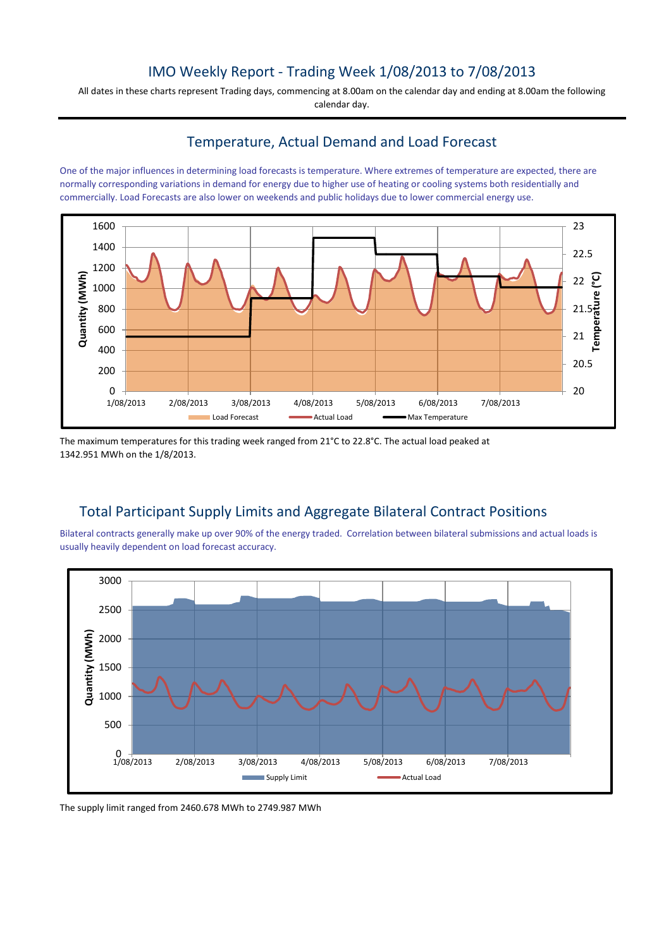## IMO Weekly Report - Trading Week 1/08/2013 to 7/08/2013

All dates in these charts represent Trading days, commencing at 8.00am on the calendar day and ending at 8.00am the following calendar day.

### Temperature, Actual Demand and Load Forecast

One of the major influences in determining load forecasts is temperature. Where extremes of temperature are expected, there are normally corresponding variations in demand for energy due to higher use of heating or cooling systems both residentially and commercially. Load Forecasts are also lower on weekends and public holidays due to lower commercial energy use.



The maximum temperatures for this trading week ranged from 21°C to 22.8°C. The actual load peaked at 1342.951 MWh on the 1/8/2013.

## Total Participant Supply Limits and Aggregate Bilateral Contract Positions

Bilateral contracts generally make up over 90% of the energy traded. Correlation between bilateral submissions and actual loads is usually heavily dependent on load forecast accuracy.



The supply limit ranged from 2460.678 MWh to 2749.987 MWh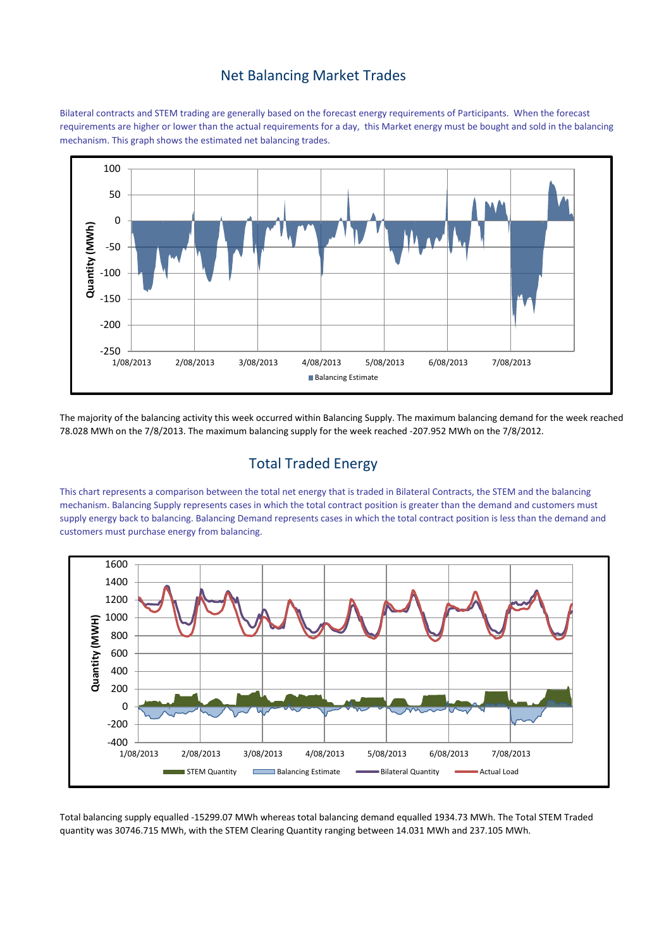#### Net Balancing Market Trades

Bilateral contracts and STEM trading are generally based on the forecast energy requirements of Participants. When the forecast requirements are higher or lower than the actual requirements for a day, this Market energy must be bought and sold in the balancing mechanism. This graph shows the estimated net balancing trades.



The majority of the balancing activity this week occurred within Balancing Supply. The maximum balancing demand for the week reached 78.028 MWh on the 7/8/2013. The maximum balancing supply for the week reached -207.952 MWh on the 7/8/2012.

# Total Traded Energy

This chart represents a comparison between the total net energy that is traded in Bilateral Contracts, the STEM and the balancing mechanism. Balancing Supply represents cases in which the total contract position is greater than the demand and customers must supply energy back to balancing. Balancing Demand represents cases in which the total contract position is less than the demand and customers must purchase energy from balancing.



Total balancing supply equalled -15299.07 MWh whereas total balancing demand equalled 1934.73 MWh. The Total STEM Traded quantity was 30746.715 MWh, with the STEM Clearing Quantity ranging between 14.031 MWh and 237.105 MWh.